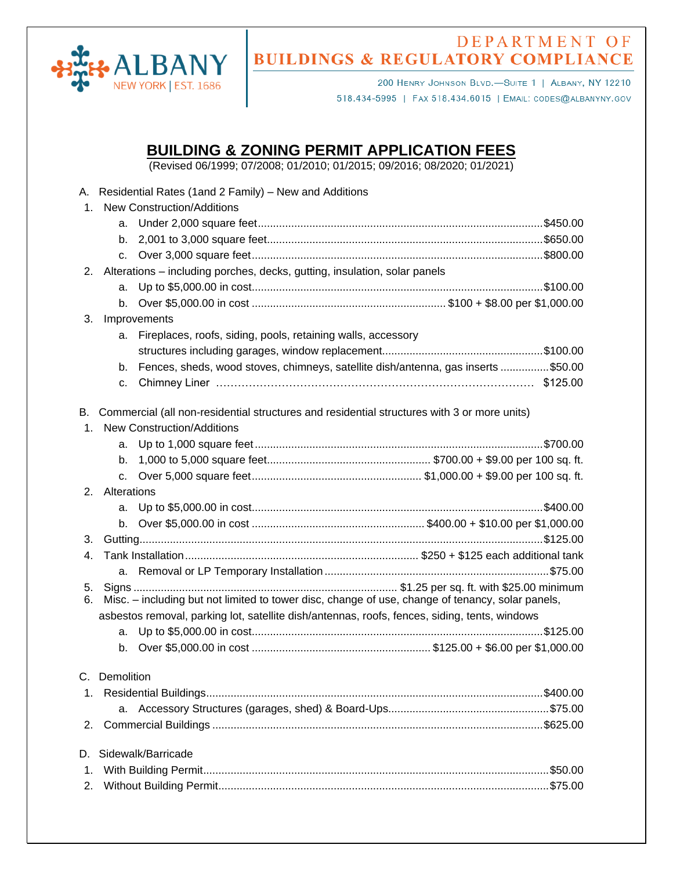

## **DEPARTMENT OF BUILDINGS & REGULATORY COMPLIANCE**

200 HENRY JOHNSON BLVD.-SUITE 1 | ALBANY, NY 12210 518.434-5995 | FAX 518.434.6015 | EMAIL: CODES@ALBANYNY.GOV

## **BUILDING & ZONING PERMIT APPLICATION FEES**

(Revised 06/1999; 07/2008; 01/2010; 01/2015; 09/2016; 08/2020; 01/2021)

|          | A. Residential Rates (1and 2 Family) – New and Additions |                                                                                                  |  |  |  |  |  |
|----------|----------------------------------------------------------|--------------------------------------------------------------------------------------------------|--|--|--|--|--|
| 1.       | <b>New Construction/Additions</b>                        |                                                                                                  |  |  |  |  |  |
|          | a.                                                       |                                                                                                  |  |  |  |  |  |
|          | b.                                                       |                                                                                                  |  |  |  |  |  |
|          | C.                                                       |                                                                                                  |  |  |  |  |  |
| 2.       |                                                          | Alterations - including porches, decks, gutting, insulation, solar panels                        |  |  |  |  |  |
|          | a.                                                       |                                                                                                  |  |  |  |  |  |
|          | b.                                                       |                                                                                                  |  |  |  |  |  |
| 3.       |                                                          | Improvements                                                                                     |  |  |  |  |  |
|          | а.                                                       | Fireplaces, roofs, siding, pools, retaining walls, accessory                                     |  |  |  |  |  |
|          |                                                          |                                                                                                  |  |  |  |  |  |
|          | b.                                                       | Fences, sheds, wood stoves, chimneys, satellite dish/antenna, gas inserts \$50.00                |  |  |  |  |  |
|          | c.                                                       |                                                                                                  |  |  |  |  |  |
|          |                                                          |                                                                                                  |  |  |  |  |  |
| В.       |                                                          | Commercial (all non-residential structures and residential structures with 3 or more units)      |  |  |  |  |  |
| 1.       |                                                          | New Construction/Additions                                                                       |  |  |  |  |  |
|          | a.                                                       |                                                                                                  |  |  |  |  |  |
|          | b.                                                       |                                                                                                  |  |  |  |  |  |
|          | C.                                                       |                                                                                                  |  |  |  |  |  |
| 2.       | Alterations                                              |                                                                                                  |  |  |  |  |  |
|          | а.                                                       |                                                                                                  |  |  |  |  |  |
|          |                                                          |                                                                                                  |  |  |  |  |  |
| З.       |                                                          |                                                                                                  |  |  |  |  |  |
| 4.       |                                                          |                                                                                                  |  |  |  |  |  |
|          |                                                          |                                                                                                  |  |  |  |  |  |
| 5.<br>6. |                                                          | Misc. – including but not limited to tower disc, change of use, change of tenancy, solar panels, |  |  |  |  |  |
|          |                                                          | asbestos removal, parking lot, satellite dish/antennas, roofs, fences, siding, tents, windows    |  |  |  |  |  |
|          | a.                                                       |                                                                                                  |  |  |  |  |  |
|          | b.                                                       |                                                                                                  |  |  |  |  |  |
|          |                                                          |                                                                                                  |  |  |  |  |  |
|          | C. Demolition                                            |                                                                                                  |  |  |  |  |  |
| 1.       |                                                          |                                                                                                  |  |  |  |  |  |
|          | a.                                                       |                                                                                                  |  |  |  |  |  |
| 2.       |                                                          |                                                                                                  |  |  |  |  |  |
|          |                                                          |                                                                                                  |  |  |  |  |  |
| D.       |                                                          | Sidewalk/Barricade                                                                               |  |  |  |  |  |
| 1.       |                                                          |                                                                                                  |  |  |  |  |  |
| 2.       |                                                          |                                                                                                  |  |  |  |  |  |
|          |                                                          |                                                                                                  |  |  |  |  |  |